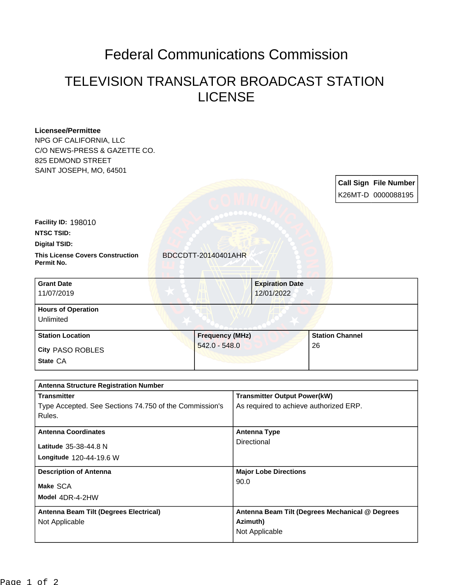## Federal Communications Commission

## TELEVISION TRANSLATOR BROADCAST STATION LICENSE

| <b>Tranemittor</b>                                              |                        | <b>Transmitter Output Power(kW)</b> |                        |                              |
|-----------------------------------------------------------------|------------------------|-------------------------------------|------------------------|------------------------------|
| <b>Antenna Structure Registration Number</b>                    |                        |                                     |                        |                              |
|                                                                 |                        |                                     |                        |                              |
| State CA                                                        |                        |                                     |                        |                              |
| City PASO ROBLES                                                | $542.0 - 548.0$        |                                     | 26                     |                              |
| <b>Station Location</b>                                         | <b>Frequency (MHz)</b> |                                     | <b>Station Channel</b> |                              |
| Unlimited                                                       |                        |                                     |                        |                              |
| <b>Hours of Operation</b>                                       |                        |                                     |                        |                              |
| 11/07/2019                                                      |                        | 12/01/2022                          |                        |                              |
| <b>Grant Date</b>                                               |                        | <b>Expiration Date</b>              |                        |                              |
| Permit No.                                                      |                        |                                     |                        |                              |
| <b>Digital TSID:</b><br><b>This License Covers Construction</b> | BDCCDTT-20140401AHR    |                                     |                        |                              |
| <b>NTSC TSID:</b>                                               |                        |                                     |                        |                              |
| <b>Facility ID: 198010</b>                                      |                        |                                     |                        |                              |
|                                                                 |                        |                                     |                        |                              |
|                                                                 |                        |                                     |                        | K26MT-D 0000088195           |
|                                                                 |                        |                                     |                        | <b>Call Sign File Number</b> |
| SAINT JOSEPH, MO, 64501                                         |                        |                                     |                        |                              |
| 825 EDMOND STREET                                               |                        |                                     |                        |                              |
| C/O NEWS-PRESS & GAZETTE CO.                                    |                        |                                     |                        |                              |
| <b>Licensee/Permittee</b><br>NPG OF CALIFORNIA, LLC             |                        |                                     |                        |                              |
|                                                                 |                        |                                     |                        |                              |

| <b>Transmitter</b>                                     | <b>Transmitter Output Power(kW)</b>             |
|--------------------------------------------------------|-------------------------------------------------|
| Type Accepted. See Sections 74.750 of the Commission's | As required to achieve authorized ERP.          |
| Rules.                                                 |                                                 |
| <b>Antenna Coordinates</b>                             | <b>Antenna Type</b>                             |
| Latitude 35-38-44.8 N                                  | Directional                                     |
| Longitude 120-44-19.6 W                                |                                                 |
|                                                        |                                                 |
| <b>Description of Antenna</b>                          | <b>Major Lobe Directions</b>                    |
| Make SCA                                               | 90.0                                            |
| Model 4DR-4-2HW                                        |                                                 |
| Antenna Beam Tilt (Degrees Electrical)                 | Antenna Beam Tilt (Degrees Mechanical @ Degrees |
| Not Applicable                                         | Azimuth)                                        |
|                                                        | Not Applicable                                  |
|                                                        |                                                 |